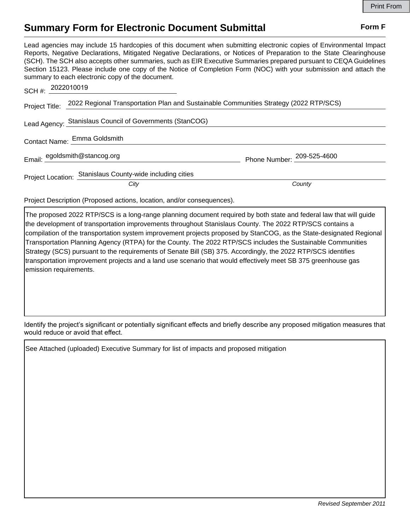## **Summary Form for Electronic Document Submittal Form F Form F**

Lead agencies may include 15 hardcopies of this document when submitting electronic copies of Environmental Impact Reports, Negative Declarations, Mitigated Negative Declarations, or Notices of Preparation to the State Clearinghouse (SCH). The SCH also accepts other summaries, such as EIR Executive Summaries prepared pursuant to CEQA Guidelines Section 15123. Please include one copy of the Notice of Completion Form (NOC) with your submission and attach the summary to each electronic copy of the document.

| SCH #: 2022010019             |                                                                                                      |                            |
|-------------------------------|------------------------------------------------------------------------------------------------------|----------------------------|
|                               | Project Title: 2022 Regional Transportation Plan and Sustainable Communities Strategy (2022 RTP/SCS) |                            |
|                               | Lead Agency: Stanislaus Council of Governments (StanCOG)                                             |                            |
|                               | Contact Name: Emma Goldsmith                                                                         |                            |
| Email: egoldsmith@stancog.org |                                                                                                      | Phone Number: 209-525-4600 |
|                               | Project Location: Stanislaus County-wide including cities                                            |                            |
|                               | City                                                                                                 | County                     |
|                               |                                                                                                      |                            |

Project Description (Proposed actions, location, and/or consequences).

The proposed 2022 RTP/SCS is a long-range planning document required by both state and federal law that will guide the development of transportation improvements throughout Stanislaus County. The 2022 RTP/SCS contains a compilation of the transportation system improvement projects proposed by StanCOG, as the State-designated Regional Transportation Planning Agency (RTPA) for the County. The 2022 RTP/SCS includes the Sustainable Communities Strategy (SCS) pursuant to the requirements of Senate Bill (SB) 375. Accordingly, the 2022 RTP/SCS identifies transportation improvement projects and a land use scenario that would effectively meet SB 375 greenhouse gas emission requirements.

Identify the project's significant or potentially significant effects and briefly describe any proposed mitigation measures that would reduce or avoid that effect.

See Attached (uploaded) Executive Summary for list of impacts and proposed mitigation